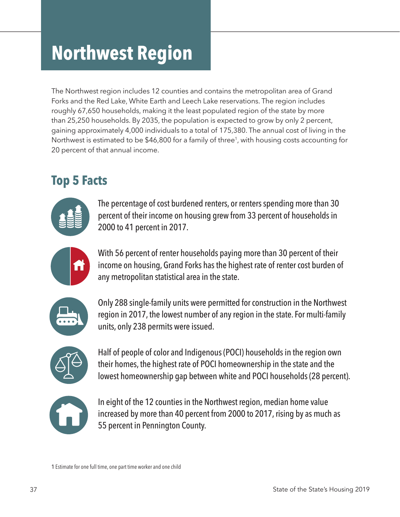# **Northwest Region**

The Northwest region includes 12 counties and contains the metropolitan area of Grand Forks and the Red Lake, White Earth and Leech Lake reservations. The region includes roughly 67,650 households, making it the least populated region of the state by more than 25,250 households. By 2035, the population is expected to grow by only 2 percent, gaining approximately 4,000 individuals to a total of 175,380. The annual cost of living in the Northwest is estimated to be \$46,800 for a family of three<sup>1</sup>, with housing costs accounting for 20 percent of that annual income.

# **Top 5 Facts**



The percentage of cost burdened renters, or renters spending more than 30 percent of their income on housing grew from 33 percent of households in 2000 to 41 percent in 2017.



With 56 percent of renter households paying more than 30 percent of their income on housing, Grand Forks has the highest rate of renter cost burden of any metropolitan statistical area in the state.



Only 288 single-family units were permitted for construction in the Northwest region in 2017, the lowest number of any region in the state. For multi-family units, only 238 permits were issued.



Half of people of color and Indigenous (POCI) households in the region own their homes, the highest rate of POCI homeownership in the state and the lowest homeownership gap between white and POCI households (28 percent).



In eight of the 12 counties in the Northwest region, median home value increased by more than 40 percent from 2000 to 2017, rising by as much as 55 percent in Pennington County.

1 Estimate for one full time, one part time worker and one child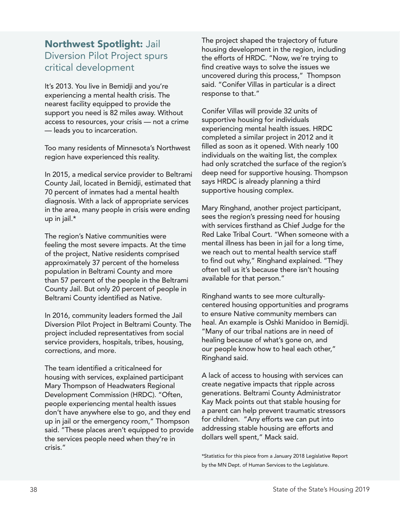### Northwest Spotlight: Jail Diversion Pilot Project spurs critical development

It's 2013. You live in Bemidji and you're experiencing a mental health crisis. The nearest facility equipped to provide the support you need is 82 miles away. Without access to resources, your crisis — not a crime — leads you to incarceration.

Too many residents of Minnesota's Northwest region have experienced this reality.

In 2015, a medical service provider to Beltrami County Jail, located in Bemidji, estimated that 70 percent of inmates had a mental health diagnosis. With a lack of appropriate services in the area, many people in crisis were ending up in jail.\*

The region's Native communities were feeling the most severe impacts. At the time of the project, Native residents comprised approximately 37 percent of the homeless population in Beltrami County and more than 57 percent of the people in the Beltrami County Jail. But only 20 percent of people in Beltrami County identified as Native.

In 2016, community leaders formed the Jail Diversion Pilot Project in Beltrami County. The project included representatives from social service providers, hospitals, tribes, housing, corrections, and more.

The team identified a criticalneed for housing with services, explained participant Mary Thompson of Headwaters Regional Development Commission (HRDC). "Often, people experiencing mental health issues don't have anywhere else to go, and they end up in jail or the emergency room," Thompson said. "These places aren't equipped to provide the services people need when they're in crisis."

The project shaped the trajectory of future housing development in the region, including the efforts of HRDC. "Now, we're trying to find creative ways to solve the issues we uncovered during this process," Thompson said. "Conifer Villas in particular is a direct response to that."

Conifer Villas will provide 32 units of supportive housing for individuals experiencing mental health issues. HRDC completed a similar project in 2012 and it filled as soon as it opened. With nearly 100 individuals on the waiting list, the complex had only scratched the surface of the region's deep need for supportive housing. Thompson says HRDC is already planning a third supportive housing complex.

Mary Ringhand, another project participant, sees the region's pressing need for housing with services firsthand as Chief Judge for the Red Lake Tribal Court. "When someone with a mental illness has been in jail for a long time, we reach out to mental health service staff to find out why," Ringhand explained. "They often tell us it's because there isn't housing available for that person."

Ringhand wants to see more culturallycentered housing opportunities and programs to ensure Native community members can heal. An example is Oshki Manidoo in Bemidji. "Many of our tribal nations are in need of healing because of what's gone on, and our people know how to heal each other," Ringhand said.

A lack of access to housing with services can create negative impacts that ripple across generations. Beltrami County Administrator Kay Mack points out that stable housing for a parent can help prevent traumatic stressors for children. "Any efforts we can put into addressing stable housing are efforts and dollars well spent," Mack said.

\*Statistics for this piece from a January 2018 Legislative Report by the MN Dept. of Human Services to the Legislature.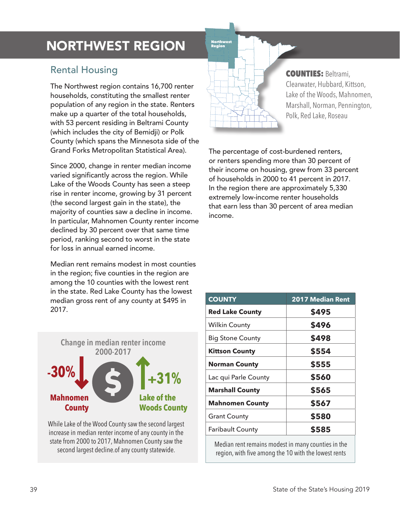# **NORTHWEST REGION**

## Rental Housing

The Northwest region contains 16,700 renter households, constituting the smallest renter population of any region in the state. Renters make up a quarter of the total households, with 53 percent residing in Beltrami County (which includes the city of Bemidji) or Polk County (which spans the Minnesota side of the Grand Forks Metropolitan Statistical Area).

Since 2000, change in renter median income varied significantly across the region. While Lake of the Woods County has seen a steep rise in renter income, growing by 31 percent (the second largest gain in the state), the majority of counties saw a decline in income. In particular, Mahnomen County renter income declined by 30 percent over that same time period, ranking second to worst in the state for loss in annual earned income.

Median rent remains modest in most counties in the region; five counties in the region are among the 10 counties with the lowest rent in the state. Red Lake County has the lowest median gross rent of any county at \$495 in 2017.



While Lake of the Wood County saw the second largest increase in median renter income of any county in the state from 2000 to 2017, Mahnomen County saw the



#### COUNTIES: Beltrami, Clearwater, Hubbard, Kittson, Lake of the Woods, Mahnomen, Marshall, Norman, Pennington, Polk, Red Lake, Roseau

The percentage of cost-burdened renters, or renters spending more than 30 percent of their income on housing, grew from 33 percent of households in 2000 to 41 percent in 2017. In the region there are approximately 5,330 extremely low-income renter households that earn less than 30 percent of area median income.

| <b>COUNTY</b>           | <b>2017 Median Rent</b> |
|-------------------------|-------------------------|
| <b>Red Lake County</b>  | \$495                   |
| Wilkin County           | \$496                   |
| <b>Big Stone County</b> | \$498                   |
| <b>Kittson County</b>   | \$554                   |
| <b>Norman County</b>    | \$555                   |
| Lac qui Parle County    | \$560                   |
| <b>Marshall County</b>  | \$565                   |
| <b>Mahnomen County</b>  | \$567                   |
| <b>Grant County</b>     | \$580                   |
| <b>Faribault County</b> | \$585                   |

second largest decline.of any county statewide.<br>Second largest decline.of any county statewide. region, with five among the 10 with the lowest rents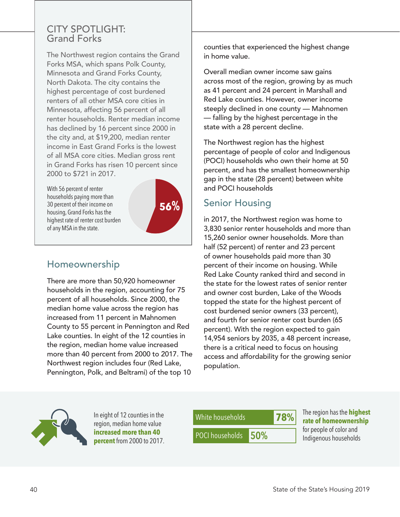#### CITY SPOTLIGHT: Grand Forks

The Northwest region contains the Grand Forks MSA, which spans Polk County, Minnesota and Grand Forks County, North Dakota. The city contains the highest percentage of cost burdened renters of all other MSA core cities in Minnesota, affecting 56 percent of all renter households. Renter median income has declined by 16 percent since 2000 in the city and, at \$19,200, median renter income in East Grand Forks is the lowest of all MSA core cities. Median gross rent in Grand Forks has risen 10 percent since 2000 to \$721 in 2017.

With 56 percent of renter households paying more than 30 percent of their income on housing, Grand Forks has the highest rate of renter cost burden of any MSA in the state.



# Homeownership

There are more than 50,920 homeowner households in the region, accounting for 75 percent of all households. Since 2000, the median home value across the region has increased from 11 percent in Mahnomen County to 55 percent in Pennington and Red Lake counties. In eight of the 12 counties in the region, median home value increased more than 40 percent from 2000 to 2017. The Northwest region includes four (Red Lake, Pennington, Polk, and Beltrami) of the top 10

counties that experienced the highest change in home value.

Overall median owner income saw gains across most of the region, growing by as much as 41 percent and 24 percent in Marshall and Red Lake counties. However, owner income steeply declined in one county — Mahnomen — falling by the highest percentage in the state with a 28 percent decline.

The Northwest region has the highest percentage of people of color and Indigenous (POCI) households who own their home at 50 percent, and has the smallest homeownership gap in the state (28 percent) between white and POCI households

## Senior Housing

in 2017, the Northwest region was home to 3,830 senior renter households and more than 15,260 senior owner households. More than half (52 percent) of renter and 23 percent of owner households paid more than 30 percent of their income on housing. While Red Lake County ranked third and second in the state for the lowest rates of senior renter and owner cost burden, Lake of the Woods topped the state for the highest percent of cost burdened senior owners (33 percent), and fourth for senior renter cost burden (65 percent). With the region expected to gain 14,954 seniors by 2035, a 48 percent increase, there is a critical need to focus on housing access and affordability for the growing senior population.



In eight of 12 counties in the region, median home value **increased more than 40 percent** from 2000 to 2017.



The region has the **highest rate of homeownership** for people of color and Indigenous households